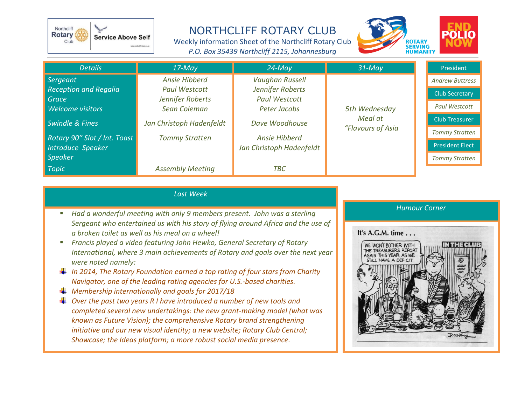

NORTHCLIFF ROTARY CLUB

Weekly information Sheet of the Northcliff Rotary Club *P.O. Box 35439 Northcliff 2115, Johannesburg*



| <b>Details</b>               | $17$ -May                | $24 - May$               | $31$ -May                                     | President              |
|------------------------------|--------------------------|--------------------------|-----------------------------------------------|------------------------|
| Sergeant                     | Ansie Hibberd            | <b>Vaughan Russell</b>   | 5th Wednesday<br>Meal at<br>"Flavours of Asia | <b>Andrew Buttress</b> |
| <b>Reception and Regalia</b> | <b>Paul Westcott</b>     | Jennifer Roberts         |                                               | <b>Club Secretary</b>  |
| Grace                        | Jennifer Roberts         | <b>Paul Westcott</b>     |                                               |                        |
| <b>Welcome visitors</b>      | Sean Coleman             | Peter Jacobs             |                                               | <b>Paul Westcott</b>   |
| <b>Swindle &amp; Fines</b>   | Jan Christoph Hadenfeldt | Dave Woodhouse           |                                               | <b>Club Treasurer</b>  |
| Rotary 90" Slot / Int. Toast | <b>Tommy Stratten</b>    | <b>Ansie Hibberd</b>     |                                               | <b>Tommy Stratten</b>  |
| Introduce Speaker            |                          | Jan Christoph Hadenfeldt |                                               | <b>President Elect</b> |
| <b>Speaker</b>               |                          |                          |                                               | <b>Tommy Stratten</b>  |
| <b>Topic</b>                 | <b>Assembly Meeting</b>  | ТВС                      |                                               |                        |

## *Last Week*

- *Had a wonderful meeting with only 9 members present. John was a sterling Sergeant who entertained us with his story of flying around Africa and the use of a broken toilet as well as his meal on a wheel!*
- *Francis played a video featuring John Hewko, General Secretary of Rotary International, where 3 main achievements of Rotary and goals over the next year were noted namely:*
- *In 2014, The Rotary Foundation earned a top rating of four stars from Charity Navigator, one of the leading rating agencies for U.S.-based charities.*
- *Membership internationally and goals for 2017/18*
- *Over the past two years R I have introduced a number of new tools and completed several new undertakings: the new grant-making model (what was known as Future Vision); the comprehensive Rotary brand strengthening initiative and our new visual identity; a new website; Rotary Club Central; Showcase; the Ideas platform; a more robust social media presence.*